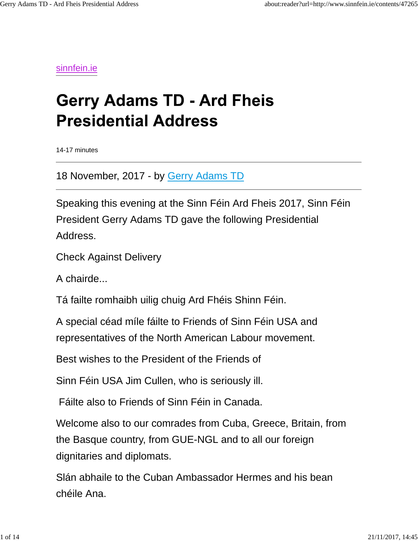sinnfein.ie

## **Gerry Adams TD - Ard Fheis Presidential Address**

14-17 minutes

18 November, 2017 - by Gerry Adams TD

Speaking this evening at the Sinn Féin Ard Fheis 2017, Sinn Féin President Gerry Adams TD gave the following Presidential Address.

Check Against Delivery

A chairde...

Tá failte romhaibh uilig chuig Ard Fhéis Shinn Féin.

A special céad míle fáilte to Friends of Sinn Féin USA and representatives of the North American Labour movement.

Best wishes to the President of the Friends of

Sinn Féin USA Jim Cullen, who is seriously ill.

Fáilte also to Friends of Sinn Féin in Canada.

Welcome also to our comrades from Cuba, Greece, Britain, from the Basque country, from GUE-NGL and to all our foreign dignitaries and diplomats.

Slán abhaile to the Cuban Ambassador Hermes and his bean chéile Ana.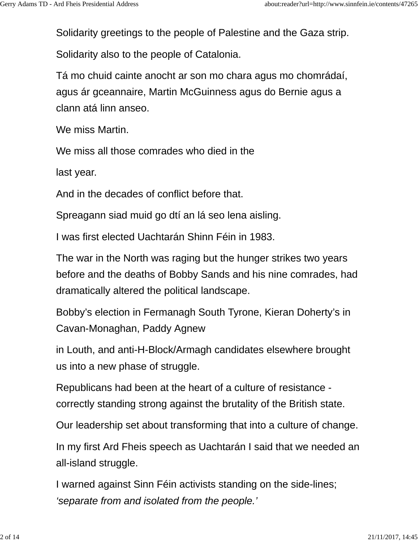Solidarity greetings to the people of Palestine and the Gaza strip.

Solidarity also to the people of Catalonia.

Tá mo chuid cainte anocht ar son mo chara agus mo chomrádaí, agus ár gceannaire, Martin McGuinness agus do Bernie agus a clann atá linn anseo.

We miss Martin.

We miss all those comrades who died in the

last year.

And in the decades of conflict before that.

Spreagann siad muid go dtí an lá seo lena aisling.

I was first elected Uachtarán Shinn Féin in 1983.

The war in the North was raging but the hunger strikes two years before and the deaths of Bobby Sands and his nine comrades, had dramatically altered the political landscape.

Bobby's election in Fermanagh South Tyrone, Kieran Doherty's in Cavan-Monaghan, Paddy Agnew

in Louth, and anti-H-Block/Armagh candidates elsewhere brought us into a new phase of struggle.

Republicans had been at the heart of a culture of resistance correctly standing strong against the brutality of the British state.

Our leadership set about transforming that into a culture of change.

In my first Ard Fheis speech as Uachtarán I said that we needed an all-island struggle.

I warned against Sinn Féin activists standing on the side-lines; *'separate from and isolated from the people.'*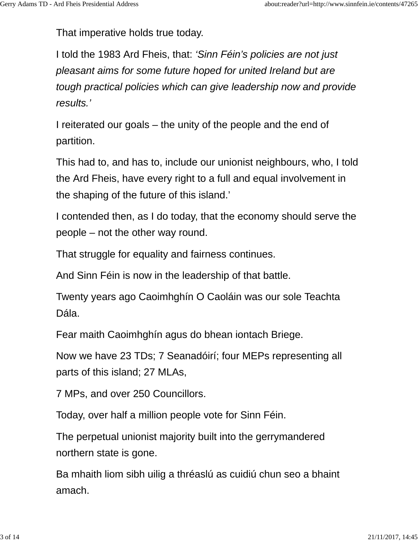That imperative holds true today.

I told the 1983 Ard Fheis, that: *'Sinn Féin's policies are not just pleasant aims for some future hoped for united Ireland but are tough practical policies which can give leadership now and provide results.'*

I reiterated our goals – the unity of the people and the end of partition.

This had to, and has to, include our unionist neighbours, who, I told the Ard Fheis, have every right to a full and equal involvement in the shaping of the future of this island.'

I contended then, as I do today, that the economy should serve the people – not the other way round.

That struggle for equality and fairness continues.

And Sinn Féin is now in the leadership of that battle.

Twenty years ago Caoimhghín O Caoláin was our sole Teachta Dála.

Fear maith Caoimhghín agus do bhean iontach Briege.

Now we have 23 TDs; 7 Seanadóirí; four MEPs representing all parts of this island; 27 MLAs,

7 MPs, and over 250 Councillors.

Today, over half a million people vote for Sinn Féin.

The perpetual unionist majority built into the gerrymandered northern state is gone.

Ba mhaith liom sibh uilig a thréaslú as cuidiú chun seo a bhaint amach.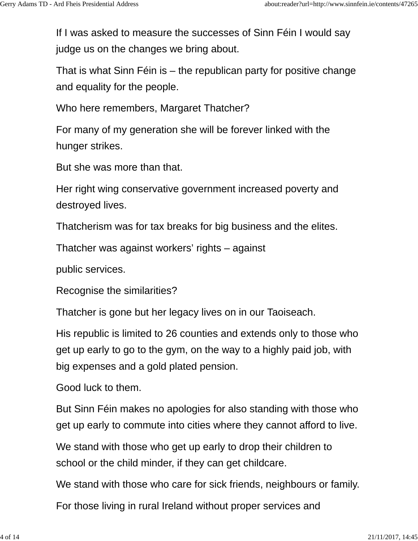If I was asked to measure the successes of Sinn Féin I would say judge us on the changes we bring about.

That is what Sinn Féin is – the republican party for positive change and equality for the people.

Who here remembers, Margaret Thatcher?

For many of my generation she will be forever linked with the hunger strikes.

But she was more than that.

Her right wing conservative government increased poverty and destroyed lives.

Thatcherism was for tax breaks for big business and the elites.

Thatcher was against workers' rights – against

public services.

Recognise the similarities?

Thatcher is gone but her legacy lives on in our Taoiseach.

His republic is limited to 26 counties and extends only to those who get up early to go to the gym, on the way to a highly paid job, with big expenses and a gold plated pension.

Good luck to them.

But Sinn Féin makes no apologies for also standing with those who get up early to commute into cities where they cannot afford to live.

We stand with those who get up early to drop their children to school or the child minder, if they can get childcare.

We stand with those who care for sick friends, neighbours or family.

For those living in rural Ireland without proper services and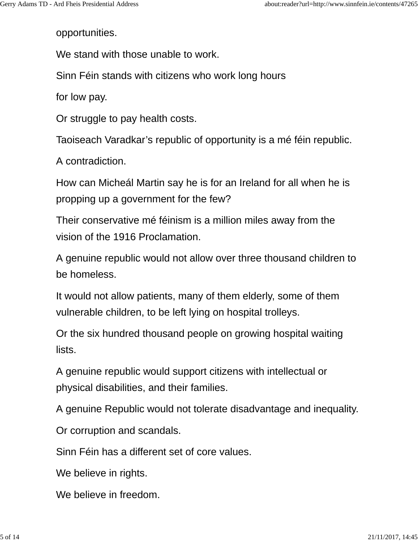opportunities.

We stand with those unable to work.

Sinn Féin stands with citizens who work long hours

for low pay.

Or struggle to pay health costs.

Taoiseach Varadkar's republic of opportunity is a mé féin republic.

A contradiction.

How can Micheál Martin say he is for an Ireland for all when he is propping up a government for the few?

Their conservative mé féinism is a million miles away from the vision of the 1916 Proclamation.

A genuine republic would not allow over three thousand children to be homeless.

It would not allow patients, many of them elderly, some of them vulnerable children, to be left lying on hospital trolleys.

Or the six hundred thousand people on growing hospital waiting lists.

A genuine republic would support citizens with intellectual or physical disabilities, and their families.

A genuine Republic would not tolerate disadvantage and inequality.

Or corruption and scandals.

Sinn Féin has a different set of core values.

We believe in rights.

We believe in freedom.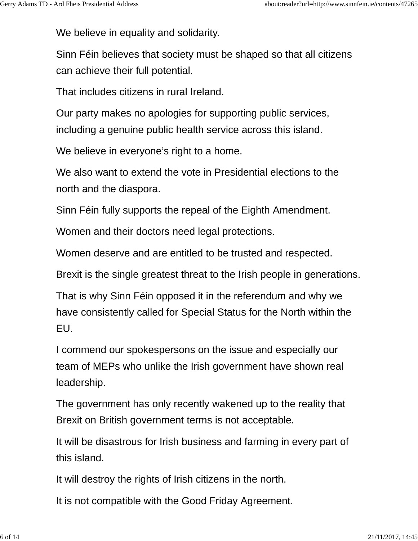We believe in equality and solidarity.

Sinn Féin believes that society must be shaped so that all citizens can achieve their full potential.

That includes citizens in rural Ireland.

Our party makes no apologies for supporting public services, including a genuine public health service across this island.

We believe in everyone's right to a home.

We also want to extend the vote in Presidential elections to the north and the diaspora.

Sinn Féin fully supports the repeal of the Eighth Amendment.

Women and their doctors need legal protections.

Women deserve and are entitled to be trusted and respected.

Brexit is the single greatest threat to the Irish people in generations.

That is why Sinn Féin opposed it in the referendum and why we have consistently called for Special Status for the North within the EU.

I commend our spokespersons on the issue and especially our team of MEPs who unlike the Irish government have shown real leadership.

The government has only recently wakened up to the reality that Brexit on British government terms is not acceptable.

It will be disastrous for Irish business and farming in every part of this island.

It will destroy the rights of Irish citizens in the north.

It is not compatible with the Good Friday Agreement.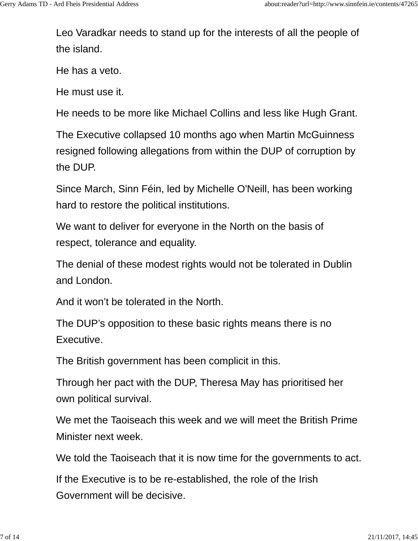Leo Varadkar needs to stand up for the interests of all the people of the island.

He has a veto.

He must use it.

He needs to be more like Michael Collins and less like Hugh Grant.

The Executive collapsed 10 months ago when Martin McGuinness resigned following allegations from within the DUP of corruption by the DUP.

Since March, Sinn Féin, led by Michelle O'Neill, has been working hard to restore the political institutions.

We want to deliver for everyone in the North on the basis of respect, tolerance and equality.

The denial of these modest rights would not be tolerated in Dublin and London.

And it won't be tolerated in the North.

The DUP's opposition to these basic rights means there is no Executive.

The British government has been complicit in this.

Through her pact with the DUP, Theresa May has prioritised her own political survival.

We met the Taoiseach this week and we will meet the British Prime Minister next week.

We told the Taoiseach that it is now time for the governments to act.

If the Executive is to be re-established, the role of the Irish Government will be decisive.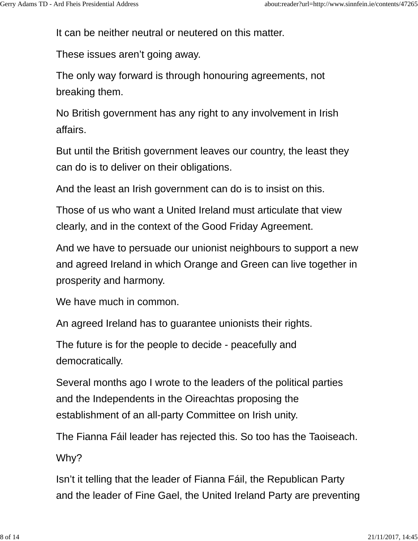It can be neither neutral or neutered on this matter.

These issues aren't going away.

The only way forward is through honouring agreements, not breaking them.

No British government has any right to any involvement in Irish affairs.

But until the British government leaves our country, the least they can do is to deliver on their obligations.

And the least an Irish government can do is to insist on this.

Those of us who want a United Ireland must articulate that view clearly, and in the context of the Good Friday Agreement.

And we have to persuade our unionist neighbours to support a new and agreed Ireland in which Orange and Green can live together in prosperity and harmony.

We have much in common.

An agreed Ireland has to guarantee unionists their rights.

The future is for the people to decide - peacefully and democratically.

Several months ago I wrote to the leaders of the political parties and the Independents in the Oireachtas proposing the establishment of an all-party Committee on Irish unity.

The Fianna Fáil leader has rejected this. So too has the Taoiseach.

Why?

Isn't it telling that the leader of Fianna Fáil, the Republican Party and the leader of Fine Gael, the United Ireland Party are preventing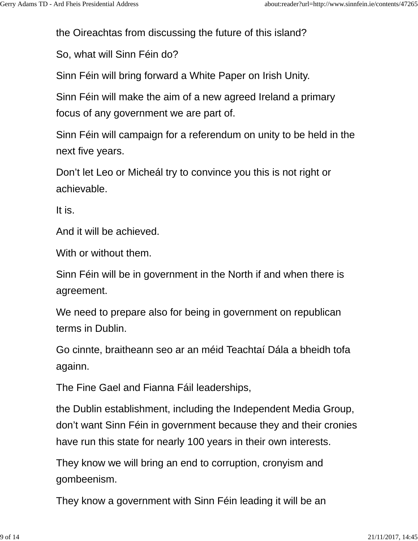the Oireachtas from discussing the future of this island?

So, what will Sinn Féin do?

Sinn Féin will bring forward a White Paper on Irish Unity.

Sinn Féin will make the aim of a new agreed Ireland a primary focus of any government we are part of.

Sinn Féin will campaign for a referendum on unity to be held in the next five years.

Don't let Leo or Micheál try to convince you this is not right or achievable.

It is.

And it will be achieved.

With or without them.

Sinn Féin will be in government in the North if and when there is agreement.

We need to prepare also for being in government on republican terms in Dublin.

Go cinnte, braitheann seo ar an méid Teachtaí Dála a bheidh tofa againn.

The Fine Gael and Fianna Fáil leaderships,

the Dublin establishment, including the Independent Media Group, don't want Sinn Féin in government because they and their cronies have run this state for nearly 100 years in their own interests.

They know we will bring an end to corruption, cronyism and gombeenism.

They know a government with Sinn Féin leading it will be an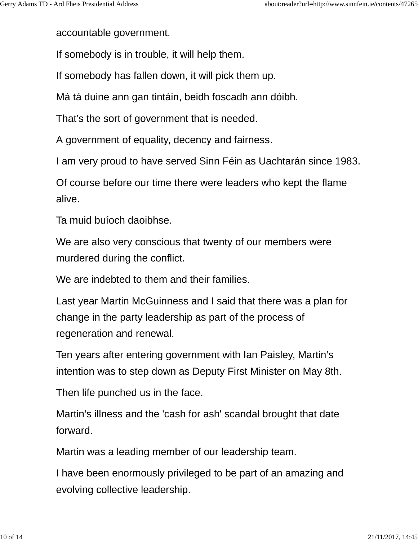accountable government.

If somebody is in trouble, it will help them.

If somebody has fallen down, it will pick them up.

Má tá duine ann gan tintáin, beidh foscadh ann dóibh.

That's the sort of government that is needed.

A government of equality, decency and fairness.

I am very proud to have served Sinn Féin as Uachtarán since 1983.

Of course before our time there were leaders who kept the flame alive.

Ta muid buíoch daoibhse.

We are also very conscious that twenty of our members were murdered during the conflict.

We are indebted to them and their families.

Last year Martin McGuinness and I said that there was a plan for change in the party leadership as part of the process of regeneration and renewal.

Ten years after entering government with Ian Paisley, Martin's intention was to step down as Deputy First Minister on May 8th.

Then life punched us in the face.

Martin's illness and the 'cash for ash' scandal brought that date forward.

Martin was a leading member of our leadership team.

I have been enormously privileged to be part of an amazing and evolving collective leadership.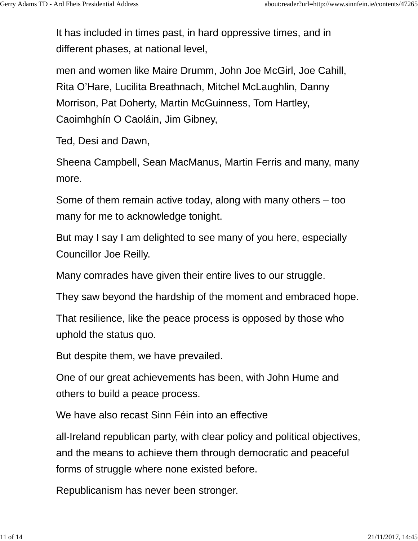It has included in times past, in hard oppressive times, and in different phases, at national level,

men and women like Maire Drumm, John Joe McGirl, Joe Cahill, Rita O'Hare, Lucilita Breathnach, Mitchel McLaughlin, Danny Morrison, Pat Doherty, Martin McGuinness, Tom Hartley, Caoimhghín O Caoláin, Jim Gibney,

Ted, Desi and Dawn,

Sheena Campbell, Sean MacManus, Martin Ferris and many, many more.

Some of them remain active today, along with many others – too many for me to acknowledge tonight.

But may I say I am delighted to see many of you here, especially Councillor Joe Reilly.

Many comrades have given their entire lives to our struggle.

They saw beyond the hardship of the moment and embraced hope.

That resilience, like the peace process is opposed by those who uphold the status quo.

But despite them, we have prevailed.

One of our great achievements has been, with John Hume and others to build a peace process.

We have also recast Sinn Féin into an effective

all-Ireland republican party, with clear policy and political objectives, and the means to achieve them through democratic and peaceful forms of struggle where none existed before.

Republicanism has never been stronger.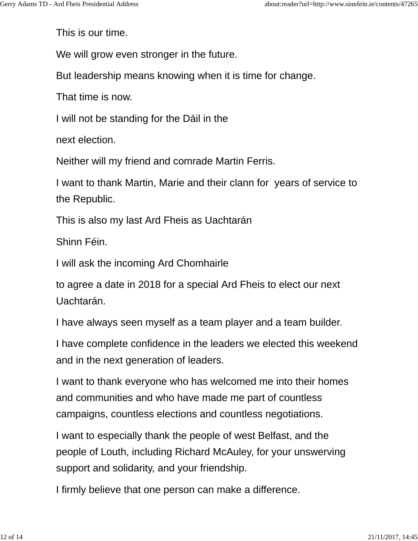This is our time.

We will grow even stronger in the future.

But leadership means knowing when it is time for change.

That time is now.

I will not be standing for the Dáil in the

next election.

Neither will my friend and comrade Martin Ferris.

I want to thank Martin, Marie and their clann for years of service to the Republic.

This is also my last Ard Fheis as Uachtarán

Shinn Féin.

I will ask the incoming Ard Chomhairle

to agree a date in 2018 for a special Ard Fheis to elect our next Uachtarán.

I have always seen myself as a team player and a team builder.

I have complete confidence in the leaders we elected this weekend and in the next generation of leaders.

I want to thank everyone who has welcomed me into their homes and communities and who have made me part of countless campaigns, countless elections and countless negotiations.

I want to especially thank the people of west Belfast, and the people of Louth, including Richard McAuley, for your unswerving support and solidarity, and your friendship.

I firmly believe that one person can make a difference.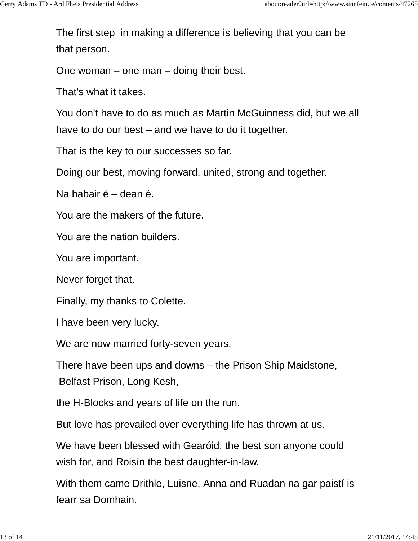The first step in making a difference is believing that you can be that person.

One woman – one man – doing their best.

That's what it takes.

You don't have to do as much as Martin McGuinness did, but we all have to do our best – and we have to do it together.

That is the key to our successes so far.

Doing our best, moving forward, united, strong and together.

Na habair é – dean é.

You are the makers of the future.

You are the nation builders.

You are important.

Never forget that.

Finally, my thanks to Colette.

I have been very lucky.

We are now married forty-seven years.

There have been ups and downs – the Prison Ship Maidstone, Belfast Prison, Long Kesh,

the H-Blocks and years of life on the run.

But love has prevailed over everything life has thrown at us.

We have been blessed with Gearóid, the best son anyone could wish for, and Roisín the best daughter-in-law.

With them came Drithle, Luisne, Anna and Ruadan na gar paistí is fearr sa Domhain.